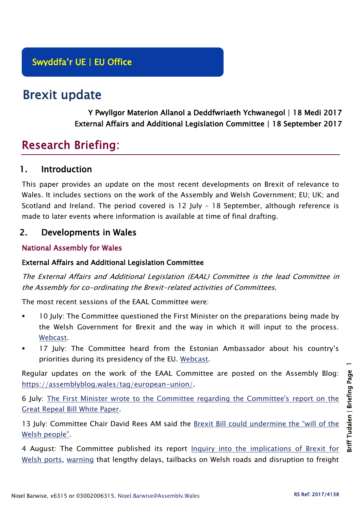# Brexit update

Y Pwyllgor Materion Allanol a Deddfwriaeth Ychwanegol | 18 Medi 2017 External Affairs and Additional Legislation Committee | 18 September 2017

## Research Briefing:

## 1. Introduction

This paper provides an update on the most recent developments on Brexit of relevance to Wales. It includes sections on the work of the Assembly and Welsh Government; EU; UK; and Scotland and Ireland. The period covered is 12 July – 18 September, although reference is made to later events where information is available at time of final drafting.

## 2. Developments in Wales

#### National Assembly for Wales

#### External Affairs and Additional Legislation Committee

The External Affairs and Additional Legislation (EAAL) Committee is the lead Committee in the Assembly for co-ordinating the Brexit-related activities of Committees.

The most recent sessions of the EAAL Committee were:

- 10 July: The Committee questioned the First Minister on the preparations being made by the Welsh Government for Brexit and the way in which it will input to the process. [Webcast.](http://www.senedd.tv/Meeting/Archive/2ec9a989-e264-44e6-80d1-07045f6f263a?autostart=True)
- 17 July: The Committee heard from the Estonian Ambassador about his country's priorities during its presidency of the EU. [Webcast.](http://www.senedd.tv/Meeting/Archive/588b572c-80eb-41a1-982b-eb30f04d919c?autostart=True)

Regular updates on the work of the EAAL Committee are posted on the Assembly Blog: [https://assemblyblog.wales/tag/european-union/.](https://assemblyblog.wales/tag/european-union/)

6 July: [The First Minister wrote to the Committee regarding the Committee's report on the](http://senedd.assembly.wales/documents/s65006/Paper%20to%20note%201%20-%20Correspondence%20from%20the%20First%20Minister%20regarding%20the%20Committees%20report%20on%20the%20GRB.pdf)  [Great Repeal Bill White Paper.](http://senedd.assembly.wales/documents/s65006/Paper%20to%20note%201%20-%20Correspondence%20from%20the%20First%20Minister%20regarding%20the%20Committees%20report%20on%20the%20GRB.pdf)

13 July: Committee Chair David Rees AM said the [Brexit Bill could undermine the "will of the](http://www.assembly.wales/en/newhome/pages/newsitem.aspx?itemid=1742&assembly=5)  [Welsh people"](http://www.assembly.wales/en/newhome/pages/newsitem.aspx?itemid=1742&assembly=5).

4 August: The Committee published its report [Inquiry into the implications of Brexit for](http://www.assembly.wales/laid%20documents/cr-ld11158/cr-ld11158-e.pdf)  [Welsh ports,](http://www.assembly.wales/laid%20documents/cr-ld11158/cr-ld11158-e.pdf) [warning](http://www.assembly.wales/en/newhome/pages/newsitem.aspx?itemid=1753&assembly=5) that lengthy delays, tailbacks on Welsh roads and disruption to freight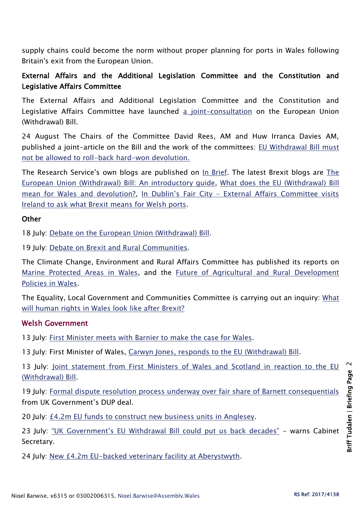supply chains could become the norm without proper planning for ports in Wales following Britain's exit from the European Union.

#### External Affairs and the Additional Legislation Committee and the Constitution and Legislative Affairs Committee

The External Affairs and Additional Legislation Committee and the Constitution and Legislative Affairs Committee have launched [a joint-consultation](http://senedd.assembly.wales/mgConsultationDisplay.aspx?ID=269) on the European Union (Withdrawal) Bill.

24 August The Chairs of the Committee David Rees, AM and Huw Irranca Davies AM, published a joint-article on the Bill and the work of the committees: [EU Withdrawal Bill must](https://nation.cymru/2017/eu-withdrawal-bill-must-not-be-allowed-to-roll-back-hard-won-devolution/)  [not be allowed to roll-back hard-won devolution.](https://nation.cymru/2017/eu-withdrawal-bill-must-not-be-allowed-to-roll-back-hard-won-devolution/)

The Research Service's own blogs are published on [In Brief.](https://assemblyinbrief.wordpress.com/) [The](http://www.assembly.wales/Research%20Documents/17-018/17-018-Web-English.pdf) latest Brexit blogs are The [European Union \(Withdrawal\) Bill: An introductory guide,](http://www.assembly.wales/Research%20Documents/17-018/17-018-Web-English.pdf) [What does the EU \(Withdrawal\) Bill](https://assemblyinbrief.wordpress.com/2017/07/17/what-does-the-eu-withdrawal-bill-mean-for-wales-and-devolution/)  [mean for Wales and devolution?,](https://assemblyinbrief.wordpress.com/2017/07/17/what-does-the-eu-withdrawal-bill-mean-for-wales-and-devolution/) In Dublin's Fair City – [External Affairs Committee visits](https://assemblyinbrief.wordpress.com/2017/07/03/in-dublins-fair-city-external-affairs-committee-visits-ireland-to-ask-what-brexit-means-for-welsh-ports/)  [Ireland to ask what Brexit means for Welsh ports.](https://assemblyinbrief.wordpress.com/2017/07/03/in-dublins-fair-city-external-affairs-committee-visits-ireland-to-ask-what-brexit-means-for-welsh-ports/)

#### **Other**

18 July: [Debate on the European Union \(Withdrawal\) Bill.](http://www.assembly.wales/en/bus-home/pages/rop.aspx?meetingid=4306&assembly=5&c=Record%20of%20Proceedings#C490283)

19 July: [Debate on Brexit and Rural Communities.](http://www.assembly.wales/en/bus-home/pages/rop.aspx?meetingid=4307&assembly=5&c=Record%20of%20Proceedings#C491202)

The Climate Change, Environment and Rural Affairs Committee has published its reports on [Marine Protected Areas in Wales,](http://senedd.assembly.wales/mgIssueHistoryHome.aspx?IId=16663) and the [Future of Agricultural and Rural Development](http://senedd.assembly.wales/mgIssueHistoryHome.aspx?IId=15876)  [Policies in Wales.](http://senedd.assembly.wales/mgIssueHistoryHome.aspx?IId=15876)

The Equality, Local Government and Communities Committee is carrying out an inquiry: [What](http://senedd.assembly.wales/mgConsultationDisplay.aspx?id=244&RPID=1008299204&cp=yes)  [will human rights in Wales look like after Brexit?](http://senedd.assembly.wales/mgConsultationDisplay.aspx?id=244&RPID=1008299204&cp=yes)

#### Welsh Government

13 July: [First Minister meets with Barnier to make the case for Wales.](http://gov.wales/newsroom/firstminister/2017/170713-fm-meets-barnier-to-make-case-for-wales/?lang=en)

13 July: First Minister of Wales, [Carwyn Jones, responds to the EU \(Withdrawal\) Bill.](http://gov.wales/newsroom/firstminister/2017/170713-first-minister-responds-to-eu-withdrawal-bill/?lang=en)

13 July: Joint statement from First Ministers of Wales and Scotland in reaction to the EU [\(Withdrawal\) Bill.](http://gov.wales/newsroom/firstminister/2017/170713-joint-statement-from-first-ministers-of-wales-and-scotland/?lang=en)

19 July: [Formal dispute resolution process underway over fair share of Barnett consequentials](http://gov.wales/newsroom/finance1/2017/59193912/?lang=en) from UK Government's DUP deal.

20 July: [£4.2m EU funds to construct new business units in Anglesey.](http://gov.wales/newsroom/finance1/2017/59195619/?lang=en)

23 July: ["UK Government's EU Withdrawal Bill could put us back decades"](http://gov.wales/newsroom/environmentandcountryside/2017/170724-uk-governments-eu-withdrawal-bill-could-put-us-back-decades-warns-cabinet-secretary/?lang=en) - warns Cabinet Secretary.

24 July: [New £4.2m EU-backed veterinary facility at Aberystwyth.](http://gov.wales/newsroom/environmentandcountryside/2017/170724-new-4.2m-eu-backed-veterinary-facility-at-aberystwyth/?lang=en)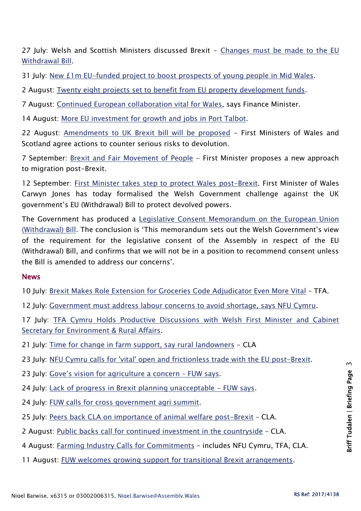27 July: Welsh and Scottish Ministers discussed Brexit - Changes must be made to the EU [Withdrawal Bill.](http://gov.wales/newsroom/finance1/2017/59208105/?lang=en)

31 July: [New £1m EU-funded project to boost prospects of young people in Mid Wales.](http://gov.wales/newsroom/finance1/2017/59212896/?lang=en)

2 August: [Twenty eight projects set to benefit from EU property development funds.](http://gov.wales/newsroom/businessandeconomy/2017/170802-28-projects-set-to-benefit-from-eu-property-development-funds/?lang=en)

7 August: [Continued European collaboration vital for Wales,](http://gov.wales/newsroom/finance1/2017/59220979/?lang=en) says Finance Minister.

14 August: [More EU investment for growth and jobs in Port Talbot.](http://gov.wales/newsroom/finance1/2017/59230197/?lang=en)

22 August: [Amendments to UK Brexit bill will be proposed](http://gov.wales/newsroom/firstminister/2017/170822-amendments-to-uk-brexit-bill-will-be-proposed/?lang=en) - First Ministers of Wales and Scotland agree actions to counter serious risks to devolution.

7 September: [Brexit and Fair Movement of People](http://gov.wales/newsroom/firstminister/2017/170907-brexit-and-fair-movement-of-people/?lang=en) - First Minister proposes a new approach to migration post-Brexit.

12 September: [First Minister takes step to protect Wales post-Brexit.](http://gov.wales/newsroom/firstminister/2017/170912-fm-takes-step-to-protect-wales-post-brexit/?lang=en) First Minister of Wales Carwyn Jones has today formalised the Welsh Government challenge against the UK government's EU (Withdrawal) Bill to protect devolved powers.

The Government has produced a [Legislative Consent Memorandum on the European Union](http://www.assembly.wales/laid%20documents/lcm-ld11177/lcm-ld11177-e.pdf)  [\(Withdrawal\) Bill](http://www.assembly.wales/laid%20documents/lcm-ld11177/lcm-ld11177-e.pdf). The conclusion is 'This memorandum sets out the Welsh Government's view of the requirement for the legislative consent of the Assembly in respect of the EU (Withdrawal) Bill, and confirms that we will not be in a position to recommend consent unless the Bill is amended to address our concerns'.

#### **News**

10 July: [Brexit Makes Role Extension for Groceries Code Adjudicator Even More Vital](http://www.tfa.org.uk/tfa-media-release-1718-politics-must-give-way-to-statesmanship-to-secure-successful-brexit/) – TFA.

12 July: [Government must address labour concerns to avoid shortage, says NFU Cymru.](https://www.nfu-cymru.org.uk/news/brexit/government-must-address-labour-concerns-to-avoid-s/)

17 July: TFA Cymru Holds Productive Discussions with Welsh First Minister and Cabinet [Secretary for Environment & Rural Affairs.](http://www.tfa.org.uk/tfa-cymru-media-release-1719-tfa-cymru-holds-productive-discussions-with-welsh-first-minister-and-cabinet-secretary-for-environment-rural-affairs/)

- 21 July: [Time for change in farm support, say rural landowners](http://www.cla.org.uk/influence/all-news/time-change-farm-support-say-rural-landowners) CLA
- 23 July: [NFU Cymru calls for 'vital' open and frictionless trade with the EU post-Brexit.](https://www.nfu-cymru.org.uk/news/brexit/nfu-cymru-calls-for-vital-open-and-frictionless/)
- 23 July: [Gove's vision for agriculture a concern –](http://fuw.org.uk/index.php?option=com_content&view=article&id=12860:gove-s-vision-for-agriculture-a-concern-fuw-says&catid=13&lang=en&Itemid=181) FUW says.
- 24 July: [Lack of progress in Brexit planning unacceptable -](http://fuw.org.uk/index.php?option=com_content&view=article&id=12861:lack-of-progress-in-brexit-planning-unacceptable-fuw-says&catid=13&Itemid=181&lang=en) FUW says.
- 24 July: [FUW calls for cross government agri summit.](http://fuw.org.uk/index.php?option=com_content&view=article&id=12863:fuw-calls-for-cross-government-agri-summit&catid=13&lang=en&Itemid=181)
- 25 July: [Peers back CLA on importance of animal welfare post-Brexit](http://www.cla.org.uk/influence/all-news/peers-back-cla-importance-animal-welfare-post-brexit) CLA.
- 2 August: [Public backs call for continued investment in the countryside](http://www.cla.org.uk/node/10941) CLA.
- 4 August: [Farming Industry Calls for Commitments](https://www.nfu-cymru.org.uk/news/brexit/farming-industry-calls-for-commitments/) includes NFU Cymru, TFA, CLA.
- 11 August: [FUW welcomes growing support for transitional Brexit arrangements.](http://fuw.org.uk/index.php?option=com_content&view=article&id=12882:fuw-welcomes-growing-support-for-transitional-brexit-arrangements&catid=13&lang=en&Itemid=181)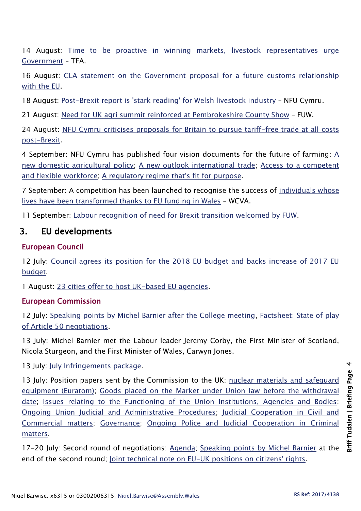14 August: [Time to be proactive in winning markets, livestock representatives urge](http://www.tfa.org.uk/tfa-media-release-1723-uk-livestock-brexit-group-time-to-be-proactive-in-winning-markets-livestock-representatives-urge-government/)  [Government](http://www.tfa.org.uk/tfa-media-release-1723-uk-livestock-brexit-group-time-to-be-proactive-in-winning-markets-livestock-representatives-urge-government/) – TFA.

16 August: CLA statement on the Government proposal for a future customs relationship [with the EU.](http://www.cla.org.uk/influence/all-news/cla-statement-government-proposal-future-customs-relationship-eu-0)

18 August: [Post-Brexit report is 'stark reading' for Welsh livestock industry](https://www.nfu-cymru.org.uk/news/brexit/post-brexit-report-is-stark-reading-for-welsh/) – NFU Cymru.

21 August: [Need for UK agri summit reinforced at Pembrokeshire County Show](http://fuw.org.uk/index.php?option=com_content&view=article&id=12887:need-for-uk-agri-summit-reinforced-at-pembrokeshire-county-show&catid=13&lang=en&Itemid=181) – FUW.

24 August: [NFU Cymru criticises proposals for Britain to pursue tariff-free trade at all costs](https://www.nfu-cymru.org.uk/news/brexit/nfu-cymru-criticises-proposals-for-britain-to-purs/)  [post-Brexit.](https://www.nfu-cymru.org.uk/news/brexit/nfu-cymru-criticises-proposals-for-britain-to-purs/)

4 September: NFU Cymru has published four vision documents for the future of farming: [A](https://www.nfu-cymru.org.uk/nfu-cymru/documents/domestic-agricultural-policy-cymru-online/)  [new domestic agricultural policy;](https://www.nfu-cymru.org.uk/nfu-cymru/documents/domestic-agricultural-policy-cymru-online/) [A new outlook international trade;](https://www.nfuonline.com/assets/96747) [Access to a competent](https://www.nfuonline.com/assets/97783)  [and flexible workforce;](https://www.nfuonline.com/assets/97783) [A regulatory regime that's fit for purpose.](https://www.nfu-cymru.org.uk/vision-for-the-future-_regulations_cymru/)

7 September: A competition has been launched to recognise the success of [individuals whose](https://www.wcva.org.uk/about-us/news/2017/09/eu-funds-cymru-competition-2017)  [lives have been transformed thanks to EU funding in Wales](https://www.wcva.org.uk/about-us/news/2017/09/eu-funds-cymru-competition-2017) – WCVA.

11 September: [Labour recognition of need for Brexit transition welcomed by FUW.](http://fuw.org.uk/index.php?option=com_content&view=article&id=12901:labour-recognition-of-need-for-brexit-transition-welcomed-by-fuw&catid=13&lang=en&Itemid=181)

## 3. EU developments

#### European Council

12 July: Council agrees its position for the 2018 EU budget and backs increase of 2017 EU [budget.](http://www.consilium.europa.eu/en/press/press-releases/2017/07/12-eu-budget-position/)

1 August: [23 cities offer to host UK-based EU agencies.](http://www.consilium.europa.eu/en/press/press-releases/2017/08/01-uk-based-eu-agencies/)

#### European Commission

12 July: [Speaking points by Michel Barnier after the College meeting,](http://europa.eu/rapid/press-release_SPEECH-17-2005_en.htm) Factsheet: State of play [of Article 50 negotiations.](http://europa.eu/rapid/press-release_MEMO-17-2001_en.htm)

13 July: Michel Barnier met the Labour leader Jeremy Corby, the First Minister of Scotland, Nicola Sturgeon, and the First Minister of Wales, Carwyn Jones.

13 July: [July Infringements package.](http://europa.eu/rapid/press-release_MEMO-17-1935_en.htm)

13 July: Position papers sent by the Commission to the UK: [nuclear materials and safeguard](https://ec.europa.eu/commission/sites/beta-political/files/essential-principles-euratom_en_0.pdf)  [equipment \(Euratom\);](https://ec.europa.eu/commission/sites/beta-political/files/essential-principles-euratom_en_0.pdf) [Goods placed on the Market under Union law](https://ec.europa.eu/commission/sites/beta-political/files/essential-principles-goods_en_0.pdf) before the withdrawal [date;](https://ec.europa.eu/commission/sites/beta-political/files/essential-principles-goods_en_0.pdf) [Issues relating to the Functioning of the Union Institutions, Agencies and Bodies;](https://ec.europa.eu/commission/sites/beta-political/files/essential-principles-functioning-institutions-agencies-bodies_en_0.pdf) [Ongoing Union Judicial and Administrative Procedures;](https://ec.europa.eu/commission/sites/beta-political/files/essential-principles-ongoing-union-judicial-admin-procedures_en_0.pdf) [Judicial Cooperation in Civil and](https://ec.europa.eu/commission/sites/beta-political/files/essential-principles-civil-commercial-matters_en_0.pdf)  [Commercial matters;](https://ec.europa.eu/commission/sites/beta-political/files/essential-principles-civil-commercial-matters_en_0.pdf) [Governance;](https://ec.europa.eu/commission/sites/beta-political/files/essential-principles-governance_en_0.pdf) [Ongoing Police and Judicial Cooperation in Criminal](https://ec.europa.eu/commission/sites/beta-political/files/essential-principles-ongoing-police-judicial_en_0.pdf)  [matters.](https://ec.europa.eu/commission/sites/beta-political/files/essential-principles-ongoing-police-judicial_en_0.pdf)

17-20 July: Second round of negotiations: [Agenda;](https://ec.europa.eu/commission/sites/beta-political/files/agenda_2nd_round_for_press.pdf) [Speaking points by Michel Barnier](http://europa.eu/rapid/press-release_SPEECH-17-2108_en.htm) at the end of the second round; [Joint technical note on EU-UK positions on citizens' rights.](https://ec.europa.eu/commission/sites/beta-political/files/eu-uk_table_cr.pdf)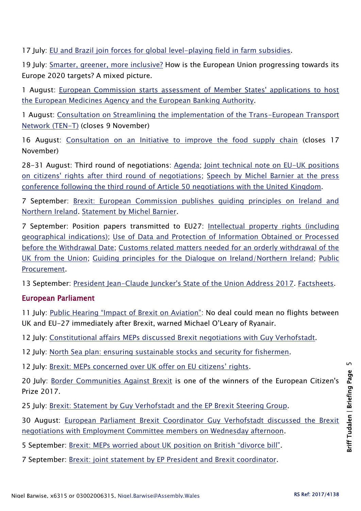17 July: [EU and Brazil join forces for global level-playing field in farm subsidies.](http://europa.eu/rapid/press-release_IP-17-2031_en.htm)

19 July: [Smarter, greener, more inclusive?](http://ec.europa.eu/eurostat/documents/2995521/8116105/1-19072017-CP-EN.pdf/f5ff0983-bf21-49c8-b15c-44e42199c78f) How is the European Union progressing towards its Europe 2020 targets? A mixed picture.

1 August: [European Commission starts assessment of Member States' applications to host](http://europa.eu/rapid/press-release_IP-17-2202_en.htm)  [the European Medicines Agency and the European Banking Authority.](http://europa.eu/rapid/press-release_IP-17-2202_en.htm)

1 August: [Consultation on Streamlining the implementation of the Trans-European Transport](https://ec.europa.eu/transport/themes/infrastructure/consultations/2017-ten-t-implementation_en)  [Network \(TEN-T\)](https://ec.europa.eu/transport/themes/infrastructure/consultations/2017-ten-t-implementation_en) (closes 9 November)

16 August: [Consultation on an Initiative to improve the food supply chain](https://ec.europa.eu/info/consultations/food-supply-chain_en) (closes 17 November)

28-31 August: Third round of negotiations: [Agenda;](https://ec.europa.eu/commission/sites/beta-political/files/agenda_3rd_round_0.pdf) [Joint technical note on EU-UK positions](https://ec.europa.eu/commission/sites/beta-political/files/joint_table_citizens_rights_-_third_round.pdf)  [on citizens' rights after third round of negotiations;](https://ec.europa.eu/commission/sites/beta-political/files/joint_table_citizens_rights_-_third_round.pdf) [Speech by Michel Barnier at the press](http://europa.eu/rapid/press-release_SPEECH-17-3043_en.htm)  [conference following the third round of Article 50 negotiations with the United](http://europa.eu/rapid/press-release_SPEECH-17-3043_en.htm) Kingdom.

7 September: [Brexit: European Commission publishes guiding principles on Ireland and](http://europa.eu/rapid/press-release_IP-17-3105_en.htm)  [Northern Ireland.](http://europa.eu/rapid/press-release_IP-17-3105_en.htm) [Statement by Michel Barnier.](http://europa.eu/rapid/press-release_SPEECH-17-3145_en.htm)

7 September: Position papers transmitted to EU27: [Intellectual property rights \(including](https://ec.europa.eu/commission/sites/beta-political/files/position-paper-intellectual-property-rights_en.pdf)  [geographical indications\);](https://ec.europa.eu/commission/sites/beta-political/files/position-paper-intellectual-property-rights_en.pdf) [Use of Data and Protection of Information Obtained or Processed](https://ec.europa.eu/commission/sites/beta-political/files/use-data-protection-information_en.pdf)  [before the Withdrawal Date;](https://ec.europa.eu/commission/sites/beta-political/files/use-data-protection-information_en.pdf) [Customs related matters needed for an orderly withdrawal of the](https://ec.europa.eu/commission/sites/beta-political/files/customs-related-matters_en.pdf)  [UK from the Union;](https://ec.europa.eu/commission/sites/beta-political/files/customs-related-matters_en.pdf) [Guiding principles for the Dialogue on Ireland/Northern Ireland;](https://ec.europa.eu/commission/sites/beta-political/files/guiding-principles-dialogue-ei-ni_en.pdf) [Public](https://ec.europa.eu/commission/sites/beta-political/files/position-paper-public-procurement_en.pdf)  [Procurement.](https://ec.europa.eu/commission/sites/beta-political/files/position-paper-public-procurement_en.pdf)

13 September: [President Jean-Claude Juncker's State of the Union Address 2017.](http://europa.eu/rapid/press-release_SPEECH-17-3165_en.htm) [Factsheets.](https://ec.europa.eu/commission/publications/factsheets-state-union-2017_en)

#### European Parliament

11 July: [Public Hearing "Impact of Brexit on Aviation"](http://www.europarl.europa.eu/news/en/press-room/20170710IPR79401/airline-and-airport-bosses-sound-alarm-on-impact-of-brexit-to-meps): No deal could mean no flights between UK and EU-27 immediately after Brexit, warned Michael O'Leary of Ryanair.

12 July: [Constitutional affairs MEPs discussed Brexit negotiations with Guy Verhofstadt.](http://www.europarl.europa.eu/news/en/press-room/20170710IPR79369/constitutional-affairs-meps-to-discuss-brexit-negotiations-with-guy-verhofstadt)

12 July: [North Sea plan: ensuring sustainable stocks and security for fishermen.](http://www.europarl.europa.eu/news/en/press-room/20170710IPR79402/north-sea-plan-ensuring-sustainable-stocks-and-security-for-fishermen)

12 July: [Brexit: MEPs concerned over UK offer on EU citizens' rights](http://www.europarl.europa.eu/news/en/press-room/20170710IPR79369/brexit-meps-concerned-over-uk-offer-on-eu-citizens-rights).

20 July: [Border Communities Against Brexit](http://www.europarl.europa.eu/news/en/press-room/20170720IPR80209/border-communities-against-brexit-winners-of-the-european-citizen-s-prize-2017) is one of the winners of the European Citizen's Prize 2017.

25 July: [Brexit: Statement by Guy Verhofstadt and the EP Brexit Steering Group.](http://www.europarl.europa.eu/news/en/press-room/20170725IPR80503/brexit-statement-by-guy-verhofstadt-and-the-ep-brexit-steering-group)

30 August: [European Parliament Brexit Coordinator Guy Verhofstadt discussed the Brexit](http://www.europarl.europa.eu/news/en/press-room/20170829IPR82603/update-on-brexit-negotiations)  [negotiations with Employment Committee members on Wednesday afternoon.](http://www.europarl.europa.eu/news/en/press-room/20170829IPR82603/update-on-brexit-negotiations)

5 September: [Brexit: MEPs worried about UK position on British "divorce bill"](http://www.europarl.europa.eu/news/en/press-room/20170904IPR83010/brexit-meps-worried-about-uk-position-on-british-divorce-bill).

7 September: [Brexit: joint statement by EP President and Brexit coordinator.](http://www.europarl.europa.eu/news/en/press-room/20170907IPR83305/brexit-joint-statement-by-ep-president-and-brexit-coordinator)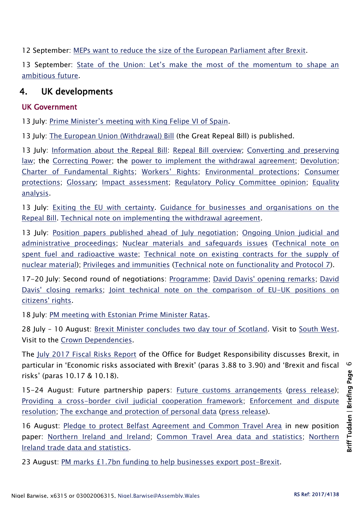12 September: [MEPs want to reduce the size of the European Parliament after Brexit.](http://www.europarl.europa.eu/news/en/press-room/20170911IPR83572/meps-want-to-reduce-the-size-of-the-european-parliament)

13 September: [State of the Union: Let's make the most of the momentum to shape an](http://www.europarl.europa.eu/news/en/press-room/20170911IPR83505/soteu-let-s-make-the-most-of-the-momentum-to-shape-an-ambitious-future)  [ambitious future.](http://www.europarl.europa.eu/news/en/press-room/20170911IPR83505/soteu-let-s-make-the-most-of-the-momentum-to-shape-an-ambitious-future)

## 4. UK developments

#### UK Government

13 July: [Prime Minister's meeting with King Felipe VI of Spain](https://www.gov.uk/government/news/pm-meeting-with-king-felipe-vi-13-july-2017).

13 July: The [European Union \(Withdrawal\) Bill](https://publications.parliament.uk/pa/bills/cbill/2017-2019/0005/18005.pdf) (the Great Repeal Bill) is published.

13 July: [Information about the Repeal Bill:](https://www.gov.uk/government/publications/information-about-the-repeal-bill) [Repeal Bill overview;](https://www.gov.uk/government/uploads/system/uploads/attachment_data/file/627983/General_Factsheet.pdf) [Converting and preserving](https://www.gov.uk/government/uploads/system/uploads/attachment_data/file/627987/Converting_and_preserving_law_factsheet.pdf)  [law;](https://www.gov.uk/government/uploads/system/uploads/attachment_data/file/627987/Converting_and_preserving_law_factsheet.pdf) the [Correcting Power;](https://www.gov.uk/government/uploads/system/uploads/attachment_data/file/627990/The_correcting_power_factsheet.pdf) the [power to implement the withdrawal agreement;](https://www.gov.uk/government/uploads/system/uploads/attachment_data/file/627991/Power_to_implement_the_withdrawal_agreement_factsheet.pdf) [Devolution;](https://www.gov.uk/government/uploads/system/uploads/attachment_data/file/627993/Devolution_factsheet.pdf) [Charter of Fundamental Rights;](https://www.gov.uk/government/uploads/system/uploads/attachment_data/file/627995/Charter_of_Fundamental_Rights.pdf) [Workers' Rights](https://www.gov.uk/government/uploads/system/uploads/attachment_data/file/627997/Workers__rights_factsheet.pdf); [Environmental protections;](https://www.gov.uk/government/uploads/system/uploads/attachment_data/file/627999/Environmental_protections_factsheet.pdf) [Consumer](https://www.gov.uk/government/uploads/system/uploads/attachment_data/file/628000/Consumer_protections_factsheet.pdf)  [protections;](https://www.gov.uk/government/uploads/system/uploads/attachment_data/file/628000/Consumer_protections_factsheet.pdf) [Glossary;](https://www.gov.uk/government/uploads/system/uploads/attachment_data/file/628002/Glossary_factsheet.pdf) [Impact assessment;](https://www.gov.uk/government/uploads/system/uploads/attachment_data/file/628004/2017-07-12_repeal_bill_impact_assessment__1_.pdf) [Regulatory Policy Committee opinion;](https://www.gov.uk/government/uploads/system/uploads/attachment_data/file/628006/2017-07-11_regulatory_policy_committee_opinion_on_repeal_bill_impact_assessment.pdf) [Equality](https://www.gov.uk/government/uploads/system/uploads/attachment_data/file/629244/European_Union__Withdrawal__Bill_equality_analysis.pdf)  [analysis.](https://www.gov.uk/government/uploads/system/uploads/attachment_data/file/629244/European_Union__Withdrawal__Bill_equality_analysis.pdf)

13 July: [Exiting the EU with certainty.](https://www.gov.uk/government/news/exiting-the-eu-with-certainty) Guidance for businesses and organisations on the [Repeal Bill.](https://www.gov.uk/guidance/guidance-for-businesses-on-the-repeal-bill) [Technical note on implementing the withdrawal agreement.](https://www.gov.uk/government/uploads/system/uploads/attachment_data/file/628116/Technical_note_implementing_the_withdrawal_agreement_FINAL.pdf)

13 July: [Position papers published ahead of July negotiation;](https://www.gov.uk/government/news/position-papers-published-ahead-of-july-negotiation) [Ongoing Union judicial and](https://www.gov.uk/government/uploads/system/uploads/attachment_data/file/627910/FINAL_OFF_SEN_Position_paper_HMG_Ongoing_Union_judicial_and_administrative_proceedings_Position_Papers_FINAL_120717__2___1_.pdf)  [administrative proceedings;](https://www.gov.uk/government/uploads/system/uploads/attachment_data/file/627910/FINAL_OFF_SEN_Position_paper_HMG_Ongoing_Union_judicial_and_administrative_proceedings_Position_Papers_FINAL_120717__2___1_.pdf) [Nuclear materials and safeguards issues](https://www.gov.uk/government/uploads/system/uploads/attachment_data/file/627909/FINAL_OFF_SEN_Position_Paper_HMG_Nuclear_materials_and_safeguards_issues_Position_Paper_FINAL_120717__3_.pdf) [\(Technical note on](https://www.gov.uk/government/uploads/system/uploads/attachment_data/file/640480/Technical_note_on_Spent_Fuel_and_Radioactive_Waste.pdf)  [spent fuel and radioactive waste;](https://www.gov.uk/government/uploads/system/uploads/attachment_data/file/640480/Technical_note_on_Spent_Fuel_and_Radioactive_Waste.pdf) [Technical note on existing contracts for the supply of](https://www.gov.uk/government/uploads/system/uploads/attachment_data/file/640483/Technical_note_on_Existing_contracts_for_the_supply_of_nuclear_material__FINAL.pdf)  [nuclear material\)](https://www.gov.uk/government/uploads/system/uploads/attachment_data/file/640483/Technical_note_on_Existing_contracts_for_the_supply_of_nuclear_material__FINAL.pdf); [Privileges and immunities](https://www.gov.uk/government/uploads/system/uploads/attachment_data/file/627908/FINAL_HMG_Privileges_and_immunities_Position_PapeR.pdf) [\(Technical note on functionality and Protocol 7\)](https://www.gov.uk/government/uploads/system/uploads/attachment_data/file/640485/Technical_note_on_Functionality_and_Protocol_7.pdf).

17-20 July: Second round of negotiations: [Programme;](https://www.gov.uk/government/news/programme-for-second-round-of-negotiations-with-european-commission) [David Davis' opening remarks;](https://www.gov.uk/government/news/david-davis-opening-remarks-at-the-start-of-second-round-of-eu-exit-negotiations-in-brussels) [David](https://www.gov.uk/government/news/david-davis-closing-remarks-at-the-end-of-the-second-round-of-eu-exit-negotiations-in-brussels)  [Davis' closing remarks;](https://www.gov.uk/government/news/david-davis-closing-remarks-at-the-end-of-the-second-round-of-eu-exit-negotiations-in-brussels) [Joint technical note on the comparison of EU-UK positions on](https://www.gov.uk/government/uploads/system/uploads/attachment_data/file/631038/Joint_technical_note_on_the_comparison_of_EU-UK_positions_on_citizens__rights.pdf)  [citizens' rights.](https://www.gov.uk/government/uploads/system/uploads/attachment_data/file/631038/Joint_technical_note_on_the_comparison_of_EU-UK_positions_on_citizens__rights.pdf)

18 July: [PM meeting with Estonian Prime Minister Ratas.](https://www.gov.uk/government/news/pm-meeting-with-estonian-prime-minister-ratas-18-july-2017)

28 July – 10 August: [Brexit Minister concludes two day tour of Scotland.](https://www.gov.uk/government/news/brexit-minister-concludes-two-day-tour-of-scotland) Visit to [South West.](https://www.gov.uk/government/news/minister-robin-walker-visits-the-south-west) Visit to the [Crown Dependencies.](https://www.gov.uk/government/news/brexit-minister-robin-walker-visits-the-crown-dependencies)

The [July 2017 Fiscal Risks Report](http://budgetresponsibility.org.uk/download/fiscal-risks-report-july-2017/) of the Office for Budget Responsibility discusses Brexit, in particular in 'Economic risks associated with Brexit' (paras 3.88 to 3.90) and 'Brexit and fiscal risks' (paras 10.17 & 10.18).

15-24 August: Future partnership papers: [Future customs arrangements](https://www.gov.uk/government/uploads/system/uploads/attachment_data/file/637748/Future_customs_arrangements_-_a_future_partnership_paper.pdf) [\(press release\)](https://www.gov.uk/government/news/new-customs-proposals-laid-out-by-government-in-new-paper-on-future-relationship-with-the-eu); [Providing a cross-border civil judicial cooperation framework;](https://www.gov.uk/government/uploads/system/uploads/attachment_data/file/639271/Providing_a_cross-border_civil_judicial_cooperation_framework.pdf) [Enforcement and dispute](https://www.gov.uk/government/uploads/system/uploads/attachment_data/file/639609/Enforcement_and_dispute_resolution.pdf)  [resolution;](https://www.gov.uk/government/uploads/system/uploads/attachment_data/file/639609/Enforcement_and_dispute_resolution.pdf) [The exchange and protection of personal data](https://www.gov.uk/government/publications/the-exchange-and-protection-of-personal-data-a-future-partnership-paper) [\(press release\)](https://www.gov.uk/government/news/uk-outlines-proposals-for-shared-approach-on-data-protection).

16 August: [Pledge to protect Belfast Agreement and Common Travel Area](https://www.gov.uk/government/news/pledge-to-protect-belfast-agreement-and-common-travel-area-in-new-position-paper) in new position paper: [Northern Ireland and Ireland;](https://www.gov.uk/government/uploads/system/uploads/attachment_data/file/638135/6.3703_DEXEU_Northern_Ireland_and_Ireland_INTERACTIVE.pdf) [Common Travel Area data and statistics;](https://www.gov.uk/government/uploads/system/uploads/attachment_data/file/638137/Additional_Data_Paper_-_Northern_Ireland_Common_Travel_Area.pdf) [Northern](https://www.gov.uk/government/uploads/system/uploads/attachment_data/file/638215/Additional_Data_Paper_-_Northern_Ireland_Trade_Data_and_Statistics__2_.pdf)  [Ireland trade data and statistics.](https://www.gov.uk/government/uploads/system/uploads/attachment_data/file/638215/Additional_Data_Paper_-_Northern_Ireland_Trade_Data_and_Statistics__2_.pdf)

23 August: [PM marks £1.7bn funding to help businesses export post-Brexit.](https://www.gov.uk/government/news/pm-marks-17bn-funding-to-help-businesses-export-post-brexit)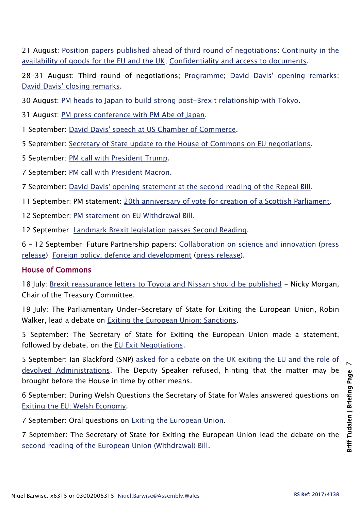21 August: [Position papers published ahead of third round of negotiations:](https://www.gov.uk/government/news/position-papers-published-ahead-of-round-three-negotiations) [Continuity in the](https://www.gov.uk/government/uploads/system/uploads/attachment_data/file/638958/Continuity_in_the_availability_of_goods_for_the_EU_and_the_UK_Position_Paper.pdf)  [availability of goods for the EU and the UK;](https://www.gov.uk/government/uploads/system/uploads/attachment_data/file/638958/Continuity_in_the_availability_of_goods_for_the_EU_and_the_UK_Position_Paper.pdf) [Confidentiality and access to documents.](https://www.gov.uk/government/uploads/system/uploads/attachment_data/file/638957/Confidentiality_and_access_to_documents_Position_Paper.pdf)

28-31 August: Third round of negotiations; [Programme;](https://www.gov.uk/government/news/programme-for-third-round-of-negotiations-with-european-commission) [David Davis' opening remarks;](https://www.gov.uk/government/news/david-davis-opening-remarks-at-the-start-of-the-third-round-of-eu-exit-negotiations) [David Davis' closing remarks](https://www.gov.uk/government/news/david-davis-closing-remarks-at-the-end-of-the-third-round-of-eu-exit-negotiations-in-brussels).

30 August: [PM heads to Japan to build strong post-Brexit relationship with Tokyo.](https://www.gov.uk/government/news/pm-heads-to-japan-to-build-strong-post-brexit-relationship-with-toyko)

31 August: [PM press conference with PM Abe of Japan.](https://www.gov.uk/government/speeches/prime-ministers-press-statement-in-tokyo)

1 September: [David Davis' speech at US Chamber of Commerce.](https://www.gov.uk/government/news/david-davis-speech-at-us-chamber-of-commerce)

5 September: [Secretary of State update to the House of Commons on EU negotiations.](https://www.gov.uk/government/speeches/secretary-of-state-update-to-the-house-of-commons-on-eu-negotiations)

5 September: [PM call with President Trump.](https://www.gov.uk/government/news/pm-call-with-president-trump-5-september-2017)

7 September: [PM call with President Macron.](https://www.gov.uk/government/news/pm-call-with-president-macron-7-sept-2017)

7 September: [David Davis' opening statement at the second reading of the Repeal Bill.](https://www.gov.uk/government/news/david-davis-opening-statement-at-the-second-reading-of-the-repeal-bill)

11 September: PM statement: [20th anniversary of vote for creation of a Scottish Parliament.](https://www.gov.uk/government/news/pm-statement-20th-anniversary-of-vote-for-creation-of-a-scottish-parliament)

12 September: [PM statement on EU Withdrawal Bill.](https://www.gov.uk/government/news/pm-statement-on-eu-withdrawal-bill-12-sept-2017)

12 September: [Landmark Brexit legislation passes Second Reading.](https://www.gov.uk/government/news/landmark-brexit-legislation-passes-second-reading)

6 – 12 September: Future Partnership papers: [Collaboration on science and innovation](https://www.gov.uk/government/uploads/system/uploads/attachment_data/file/642542/Science_and_innovation_paper.pdf) [\(press](https://www.gov.uk/government/news/uk-sets-clear-objectives-for-continued-science-success)  [release\)](https://www.gov.uk/government/news/uk-sets-clear-objectives-for-continued-science-success); [Foreign policy, defence and development](https://www.gov.uk/government/uploads/system/uploads/attachment_data/file/643924/Foreign_policy__defence_and_development_paper.pdf) [\(press release\)](https://www.gov.uk/government/news/uk-offers-deep-security-partnership-with-eu-post-brexit-in-the-face-of-growing-global-threats).

#### House of Commons

18 July: [Brexit reassurance letters to Toyota and Nissan should be published](http://www.parliament.uk/business/committees/committees-a-z/commons-select/treasury-committee/news-parliament-2017/chair-comment-on-toyota-17-19/) - Nicky Morgan, Chair of the Treasury Committee.

19 July: The Parliamentary Under-Secretary of State for Exiting the European Union, Robin Walker, lead a debate on [Exiting the European Union: Sanctions.](http://hansard.parliament.uk/commons/2017-07-19/debates/5294A807-C27B-4426-87D4-13606D4A93BE/ExitingTheEuropeanUnionSanctions)

5 September: The Secretary of State for Exiting the European Union made a statement, followed by debate, on the [EU Exit Negotiations.](http://hansard.parliament.uk/commons/2017-09-05/debates/A33568F2-9C8A-448C-8042-B6F69D3227E3/EUExitNegotiations)

5 September: Ian Blackford (SNP) [asked for a debate on the UK exiting the EU and the role of](http://hansard.parliament.uk/commons/2017-09-05/debates/655315F9-2E3B-40AA-A785-DC8367671074/ExitingTheEUDevolvedAdministrations)  [devolved Administrations.](http://hansard.parliament.uk/commons/2017-09-05/debates/655315F9-2E3B-40AA-A785-DC8367671074/ExitingTheEUDevolvedAdministrations) The Deputy Speaker refused, hinting that the matter may be brought before the House in time by other means.

6 September: During Welsh Questions the Secretary of State for Wales answered questions on Exiting [the EU: Welsh Economy.](http://hansard.parliament.uk/commons/2017-09-06/debates/87B6C67F-2EDE-4AE1-8D12-A4E74C416880/ExitingTheEUWelshEconomy)

7 September: Oral questions on [Exiting the European Union.](http://hansard.parliament.uk/commons/2017-09-07)

7 September: The Secretary of State for Exiting the European Union lead the debate on the [second reading of the European Union \(Withdrawal\) Bill.](http://hansard.parliament.uk/commons/2017-09-07/debates/DA3CC146-F8AB-40FF-812B-FE2CADDEA2F4/EuropeanUnion(Withdrawal)Bill)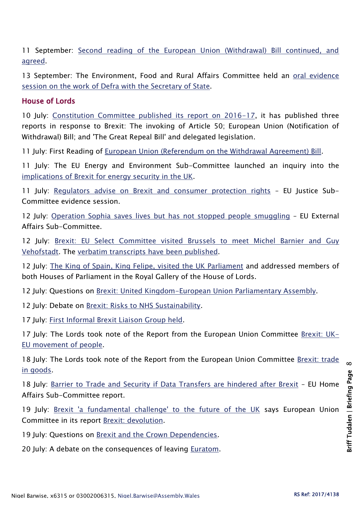11 September: [Second reading of the European Union \(Withdrawal\) Bill continued, and](http://hansard.parliament.uk/commons/2017-09-11/debates/B10868CD-F096-47A2-84EE-A902C8A271BE/EuropeanUnion(Withdrawal)Bill)  [agreed.](http://hansard.parliament.uk/commons/2017-09-11/debates/B10868CD-F096-47A2-84EE-A902C8A271BE/EuropeanUnion(Withdrawal)Bill)

13 September: The Environment, Food and Rural Affairs Committee held an oral evidence [session on the work of Defra with the Secretary of State.](http://www.parliament.uk/business/committees/committees-a-z/commons-select/environment-food-and-rural-affairs-committee/news-parliament-2017/work-defra-gove-evidence-17-19/)

#### House of Lords

10 July: [Constitution Committee published its report on 2016-17,](http://www.parliament.uk/business/committees/committees-a-z/lords-select/constitution-committee/news-parliament-2017/sessional-report-2016-17/) it has published three reports in response to Brexit: The invoking of Article 50; European Union (Notification of Withdrawal) Bill; and 'The Great Repeal Bill' and delegated legislation.

11 July: First Reading of [European Union \(Referendum on the Withdrawal Agreement\) Bill.](http://hansard.parliament.uk/Lords/2017-07-11/debates/C9CD722F-16E9-49C5-B964-3D5B790A26FE/EuropeanUnion(ReferendumOnTheWithdrawalAgreement)Bill(HL))

11 July: The EU Energy and Environment Sub-Committee launched an inquiry into the [implications of Brexit for energy security in the UK.](http://www.parliament.uk/business/committees/committees-a-z/lords-select/eu-energy-environment-subcommittee/news-parliament-2017/brexit-energy-security-launch/)

11 July: [Regulators advise on Brexit and consumer protection rights](http://www.parliament.uk/business/committees/committees-a-z/lords-select/eu-justice-subcommittee/news-parliament-2017/brexit-consumer-protection-livermore-steedman/) – EU Justice Sub-Committee evidence session.

12 July: [Operation Sophia saves lives but has not stopped people smuggling](http://www.parliament.uk/business/committees/committees-a-z/lords-select/eu-external-affairs-subcommittee/news-parliament-2017/operation-sophia-follow-up-publication/) – EU External Affairs Sub-Committee.

12 July: [Brexit: EU Select Committee visited Brussels to meet Michel Barnier and Guy](http://www.parliament.uk/business/committees/committees-a-z/lords-select/eu-select-committee-/news-parliament-2017/eu-committee-brussels-120717/)  [Vehofstadt.](http://www.parliament.uk/business/committees/committees-a-z/lords-select/eu-select-committee-/news-parliament-2017/eu-committee-brussels-120717/) The [verbatim transcripts have been published.](http://www.parliament.uk/business/committees/committees-a-z/lords-select/eu-select-committee-/news-parliament-2017/barnier-verhofstadt-transcripts-published/)

12 July: [The King of Spain, King Felipe, visited the UK Parliament](http://www.parliament.uk/business/news/2017/july/king-of-spain-visits-uk-parliament/) and addressed members of both Houses of Parliament in the Royal Gallery of the House of Lords.

12 July: Questions on [Brexit: United Kingdom-European Union Parliamentary Assembly.](http://hansard.parliament.uk/Lords/2017-07-12/debates/75FF46FE-F65B-4A5A-BA02-4F8A8E5DD9AC/BrexitUnitedKingdom-EuropeanUnionParliamentaryAssembly)

12 July: Debate on [Brexit: Risks to NHS Sustainability.](http://hansard.parliament.uk/Lords/2017-07-12/debates/6EA98977-729D-49EF-A4E5-91A589692B82/BrexitRisksToNHSSustainability)

17 July: [First Informal Brexit Liaison Group held.](http://www.parliament.uk/business/committees/committees-a-z/lords-select/liaison-committee/news-parliament-2017/first-informal-brexit-liaison-group/)

17 July: The Lords took note of the Report from the European Union Committee [Brexit: UK-](http://hansard.parliament.uk/Lords/2017-07-17/debates/C046AC3A-0357-41FF-A40E-7210AD6BC5BD/BrexitUK-EUMovementOfPeople(EUCReport))[EU movement of people.](http://hansard.parliament.uk/Lords/2017-07-17/debates/C046AC3A-0357-41FF-A40E-7210AD6BC5BD/BrexitUK-EUMovementOfPeople(EUCReport))

18 July: The Lords took note of the Report from the European Union Committee [Brexit: trade](http://hansard.parliament.uk/Lords/2017-07-18/debates/5BE2234C-F1DB-412A-8192-F7ABC9998114/BrexitTradeInGoods(EUCReport))  [in goods.](http://hansard.parliament.uk/Lords/2017-07-18/debates/5BE2234C-F1DB-412A-8192-F7ABC9998114/BrexitTradeInGoods(EUCReport))

18 July: [Barrier to Trade and Security if Data Transfers are hindered after Brexit](http://www.parliament.uk/business/committees/committees-a-z/lords-select/eu-home-affairs-subcommittee/news-parliament-2017/data-protection-report-published/) – EU Home Affairs Sub-Committee report.

19 July: [Brexit 'a fundamental challenge' to the future of the UK](http://www.parliament.uk/business/committees/committees-a-z/lords-select/eu-select-committee-/news-parliament-2017/brexit-devolution-report-publication/) says European Union Committee in its report [Brexit: devolution.](https://publications.parliament.uk/pa/ld201719/ldselect/ldeucom/9/9.pdf)

19 July: Questions on [Brexit and the Crown Dependencies.](http://hansard.parliament.uk/Lords/2017-07-19/debates/2712ABCF-21EB-4297-9C88-C528B346866A/CrownDependencies)

20 July: A debate on the consequences of leaving [Euratom.](http://hansard.parliament.uk/lords/2017-07-20/debates/02A1B589-EBE5-4E7B-8991-81562A57AFFA/Euratom)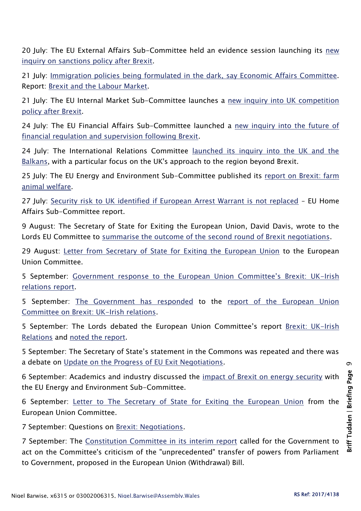20 July: The EU External Affairs Sub-Committee held an evidence session launching its [new](http://www.parliament.uk/business/committees/committees-a-z/lords-select/eu-external-affairs-subcommittee/news-parliament-2017/sanctions-legal-academic-evidence/)  [inquiry on sanctions policy after Brexit.](http://www.parliament.uk/business/committees/committees-a-z/lords-select/eu-external-affairs-subcommittee/news-parliament-2017/sanctions-legal-academic-evidence/)

21 July: [Immigration policies being formulated in the dark, say Economic Affairs Committee.](http://www.parliament.uk/business/committees/committees-a-z/lords-select/economic-affairs-committee/news-parliament-2017/brexit-labour-market/) Report: [Brexit and the Labour Market.](https://publications.parliament.uk/pa/ld201719/ldselect/ldeconaf/11/11.pdf)

21 July: The EU Internal Market Sub-Committee launches a new inquiry into UK competition [policy after Brexit.](http://www.parliament.uk/business/committees/committees-a-z/lords-select/eu-internal-market-subcommittee/news-parliament-2017/brexit-competition-inquiry-launches/)

24 July: The EU Financial Affairs Sub-Committee launched a [new inquiry into the future of](http://www.parliament.uk/business/committees/committees-a-z/lords-select/eu-financial-affairs-subcommittee/news-parliament-2017/financial-regulation-supervision-inquiry-launch/) [financial regulation and supervision following Brexit.](http://www.parliament.uk/business/committees/committees-a-z/lords-select/eu-financial-affairs-subcommittee/news-parliament-2017/financial-regulation-supervision-inquiry-launch/)

24 July: The International Relations Committee [launched its inquiry into the UK and the](http://www.parliament.uk/business/committees/committees-a-z/lords-select/international-relations-committee/news-parliament-2017/balkans-inquiry-launch/)  [Balkans,](http://www.parliament.uk/business/committees/committees-a-z/lords-select/international-relations-committee/news-parliament-2017/balkans-inquiry-launch/) with a particular focus on the UK's approach to the region beyond Brexit.

25 July: The EU Energy and Environment Sub-Committee published its report on Brexit: farm [animal welfare.](http://www.parliament.uk/business/committees/committees-a-z/lords-select/eu-energy-environment-subcommittee/news-parliament-2017/brexit-farm-animal-report-published/)

27 July: [Security risk to UK identified if European Arrest Warrant is not replaced](http://www.parliament.uk/business/committees/committees-a-z/lords-select/eu-home-affairs-subcommittee/news-parliament-2017/arrest-warrant-report-published/) – EU Home Affairs Sub-Committee report.

9 August: The Secretary of State for Exiting the European Union, David Davis, wrote to the Lords EU Committee to [summarise the outcome of the second round of Brexit negotiations.](http://www.parliament.uk/business/committees/committees-a-z/lords-select/eu-select-committee-/news-parliament-2017/david-davis-second-round-negotiations/)

29 August: [Letter from Secretary of State for Exiting the European Union](http://www.parliament.uk/documents/lords-committees/eu-select/Correspondence-2017-19/29-08-17-letter-from-David-Davis.pdf) to the European Union Committee.

5 September: [Government response to the European Union Committee's Brexit: UK](http://www.parliament.uk/documents/lords-committees/eu-select/brexit-uk-irish-relations/Response-to-Lords-European-Union-Committee-Brexit-UK-Irish-relations.pdf)-Irish [relations report.](http://www.parliament.uk/documents/lords-committees/eu-select/brexit-uk-irish-relations/Response-to-Lords-European-Union-Committee-Brexit-UK-Irish-relations.pdf)

5 September: [The Government has responded](http://www.parliament.uk/documents/lords-committees/eu-select/brexit-uk-irish-relations/Response-to-Lords-European-Union-Committee-Brexit-UK-Irish-relations.pdf) to the [report of the European Union](https://publications.parliament.uk/pa/ld201617/ldselect/ldeucom/76/76.pdf)  [Committee on Brexit: UK-Irish relations.](https://publications.parliament.uk/pa/ld201617/ldselect/ldeucom/76/76.pdf)

5 September: The Lords debated the European Union Committee's report [Brexit: UK-Irish](http://hansard.parliament.uk/Lords/2017-09-05/debates/5C9E9063-AAE9-414D-8ECA-5D366CF21669/BrexitUK-IrishRelations)  [Relations](http://hansard.parliament.uk/Lords/2017-09-05/debates/5C9E9063-AAE9-414D-8ECA-5D366CF21669/BrexitUK-IrishRelations) and [noted the report.](http://hansard.parliament.uk/Lords/2017-09-05/debates/18545BA2-A16E-4D29-9EE6-76DBB952074D/BrexitUK-IrishRelations)

5 September: The Secretary of State's statement in the Commons was repeated and there was a debate on [Update on the Progress of EU Exit Negotiations.](http://hansard.parliament.uk/Lords/2017-09-05/debates/979E2D2A-4EE9-4E4E-9496-661497EBAC90/UpdateOnTheProgressOfEUExitNegotiations)

6 September: Academics and industry discussed the [impact of Brexit on energy security](http://www.parliament.uk/business/committees/committees-a-z/lords-select/eu-energy-environment-subcommittee/news-parliament-2017/academics-brexit-energy-security/) with the EU Energy and Environment Sub-Committee.

6 September: [Letter to The Secretary of State for Exiting the European Union](http://www.parliament.uk/documents/lords-committees/eu-select/Correspondence-2017-19/06-09-17-Letter-to-David-Davis.pdf) from the European Union Committee.

7 September: Questions on [Brexit: Negotiations.](http://hansard.parliament.uk/Lords/2017-09-07/debates/E97D91CA-4D7B-4028-BB87-53586B27E76A/BrexitNegotiations)

7 September: The [Constitution Committee in its interim report](https://publications.parliament.uk/pa/ld201719/ldselect/ldconst/19/19.pdf) called for the Government to act on the Committee's criticism of the "unprecedented" transfer of powers from Parliament to Government, proposed in the European Union (Withdrawal) Bill.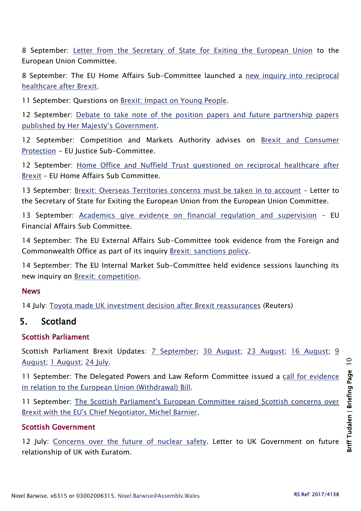8 September: [Letter from the Secretary of State for Exiting the European Union](http://www.parliament.uk/documents/lords-committees/eu-select/Correspondence-2017-19/08-09-17-letter-from-David-Davis.pdf) to the European Union Committee.

8 September: The EU Home Affairs Sub-Committee launched a [new inquiry into reciprocal](http://www.parliament.uk/business/committees/committees-a-z/lords-select/eu-home-affairs-subcommittee/news-parliament-2017/brexit-reciprocal-health-inquiry/)  [healthcare after Brexit.](http://www.parliament.uk/business/committees/committees-a-z/lords-select/eu-home-affairs-subcommittee/news-parliament-2017/brexit-reciprocal-health-inquiry/)

11 September: Questions on [Brexit: Impact on Young People.](http://hansard.parliament.uk/Lords/2017-09-11/debates/BEB3F5EA-8ECE-4ED0-9995-46A7179A8A9F/BrexitImpactOnYoungPeople)

12 September: Debate to take note of the position papers and future partnership papers [published by Her Majesty's Government](http://hansard.parliament.uk/Lords/2017-09-12/debates/D9B904BD-F526-4CCE-A67C-568A8E31D8A1/UKAndEURelations).

12 September: Competition and Markets Authority advises on [Brexit and Consumer](http://www.parliament.uk/business/committees/committees-a-z/lords-select/eu-justice-subcommittee/news-parliament-2017/brexit-consumer-protection-freeman-green/)  [Protection](http://www.parliament.uk/business/committees/committees-a-z/lords-select/eu-justice-subcommittee/news-parliament-2017/brexit-consumer-protection-freeman-green/) - EU Justice Sub-Committee.

12 September: Home Office and Nuffield Trust questioned on reciprocal healthcare after [Brexit](http://www.parliament.uk/business/committees/committees-a-z/lords-select/eu-home-affairs-subcommittee/news-parliament-2017/home-office-evidence-session/) – EU Home Affairs Sub Committee.

13 September: [Brexit: Overseas Territories concerns must be taken in to account](http://www.parliament.uk/business/committees/committees-a-z/lords-select/eu-select-committee-/news-parliament-2017/overseas-territories-letter-published/) – Letter to the Secretary of State for Exiting the European Union from the European Union Committee.

13 September: [Academics give evidence on financial regulation and supervision](http://www.parliament.uk/business/committees/committees-a-z/lords-select/eu-financial-affairs-subcommittee/news-parliament-2017/financial-supervision-and-regulation-evidence/) – EU Financial Affairs Sub Committee.

14 September: The EU External Affairs Sub-Committee took evidence from the Foreign and Commonwealth Office as part of its inquiry [Brexit: sanctions policy.](http://www.parliament.uk/business/committees/committees-a-z/lords-select/eu-external-affairs-subcommittee/news-parliament-2017/foreign-office-sanctions-policy/)

14 September: The EU Internal Market Sub-Committee held evidence sessions launching its new inquiry on [Brexit: competition.](http://www.parliament.uk/business/committees/committees-a-z/lords-select/eu-internal-market-subcommittee/news-parliament-2017/brexit-competition-cma-regulators/)

#### News

14 July: [Toyota made UK investment decision after Brexit reassurances](http://uk.reuters.com/article/us-britain-eu-toyota-exclusive-idUKKBN19Z1VG?utm_source=Twitter&utm_medium=Social) (Reuters)

## 5. Scotland

#### Scottish Parliament

Scottish Parliament Brexit Updates: [7 September;](https://scottishparliamentinformationcentre.org/wp-content/uploads/2016/09/Leaving-the-EU-weekly-update-7-September-2017.pdf) [30 August;](https://scottishparliamentinformationcentre.org/wp-content/uploads/2016/09/Leaving-the-EU-weekly-update-30-August-2017.pdf) [23 August;](https://scottishparliamentinformationcentre.org/wp-content/uploads/2016/09/leaving-the-eu-weekly-update-23-august-2017.pdf) [16 August;](https://scottishparliamentinformationcentre.org/wp-content/uploads/2016/09/leaving-the-eu-weekly-update-16-august-2017.pdf) 9 [August;](https://scottishparliamentinformationcentre.org/wp-content/uploads/2016/09/leaving-the-eu-weekly-update-9-august-2017.pdf) [1 August;](https://scottishparliamentinformationcentre.org/wp-content/uploads/2016/09/leaving-the-eu-weekly-update-1-august-2017.pdf) [24 July.](https://scottishparliamentinformationcentre.org/wp-content/uploads/2016/09/leaving-the-eu-weekly-update-24-july-2017.pdf)

11 September: The Delegated Powers and Law Reform Committee issued a [call for evidence](http://www.parliament.scot/newsandmediacentre/106019.aspx)  [in relation to the European Union \(Withdrawal\) Bill.](http://www.parliament.scot/newsandmediacentre/106019.aspx)

11 September: [The Scottish Parliament's European Committee raised Scottish concerns over](http://www.parliament.scot/newsandmediacentre/106039.aspx)  [Brexit with the EU's Chief Negotiator, Michel Barnier.](http://www.parliament.scot/newsandmediacentre/106039.aspx)

#### Scottish Government

12 July: [Concerns over the future of nuclear safety.](https://news.gov.scot/news/concerns-over-the-future-of-nuclear-safety) Letter to UK Government on future relationship of UK with Euratom.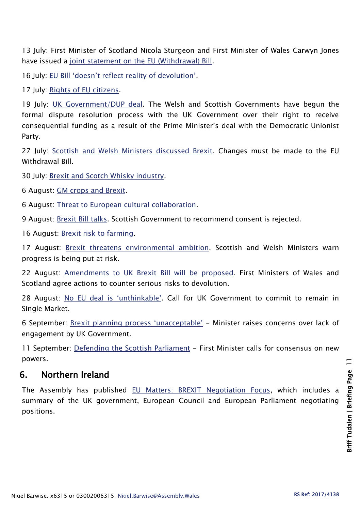13 July: First Minister of Scotland Nicola Sturgeon and First Minister of Wales Carwyn Jones have issued a [joint statement on the EU \(Withdrawal\) Bill.](https://news.gov.scot/news/eu-withdrawal-bill)

16 July: [EU Bill 'doesn't reflect reality of devolution'](https://news.gov.scot/news/eu-bill-doesnt-reflect-reality-of-devolution).

17 July: [Rights of EU citizens.](https://news.gov.scot/news/rights-of-eu-citizens)

19 July: [UK Government/DUP deal.](https://news.gov.scot/news/uk-governmentdup-deal-1) The Welsh and Scottish Governments have begun the formal dispute resolution process with the UK Government over their right to receive consequential funding as a result of the Prime Minister's deal with the Democratic Unionist Party.

27 July: [Scottish and Welsh Ministers discussed Brexit.](https://news.gov.scot/news/scottish-and-welsh-ministers-to-discuss-brexit) Changes must be made to the EU Withdrawal Bill.

30 July: [Brexit and Scotch Whisky industry.](https://news.gov.scot/news/brexit-and-scotch-whisky-industry)

6 August: [GM crops and Brexit.](https://news.gov.scot/news/gm-crops-and-brexit)

6 August: [Threat to European cultural collaboration.](https://news.gov.scot/news/threat-to-european-cultural-collaboration)

9 August: [Brexit Bill talks.](https://news.gov.scot/news/brexit-bill-talks) Scottish Government to recommend consent is rejected.

16 August: [Brexit risk to farming.](https://news.gov.scot/news/brexit-risk-to-farming)

17 August: [Brexit threatens environmental ambition.](https://news.gov.scot/news/brexit-threatens-environmental-ambition) Scottish and Welsh Ministers warn progress is being put at risk.

22 August: [Amendments to UK Brexit Bill will be proposed.](https://news.gov.scot/news/amendments-to-uk-brexit-bill-will-be-proposed) First Ministers of Wales and Scotland agree actions to counter serious risks to devolution.

28 August: [No EU deal is 'unthinkable'](https://news.gov.scot/news/no-eu-deal-is-unthinkable). Call for UK Government to commit to remain in Single Market.

6 September: [Brexit planning process 'unacceptable'](https://news.gov.scot/news/brexit-planning-process-unacceptable) - Minister raises concerns over lack of engagement by UK Government.

11 September: [Defending the Scottish Parliament](https://news.gov.scot/news/defending-the-scottish-parliament) - First Minister calls for consensus on new powers.

## 6. Northern Ireland

The Assembly has published [EU Matters: BREXIT Negotiation Focus,](http://www.niassembly.gov.uk/assembly-business/eu-matters/newsletters/issue-012017/) which includes a summary of the UK government, European Council and European Parliament negotiating positions.